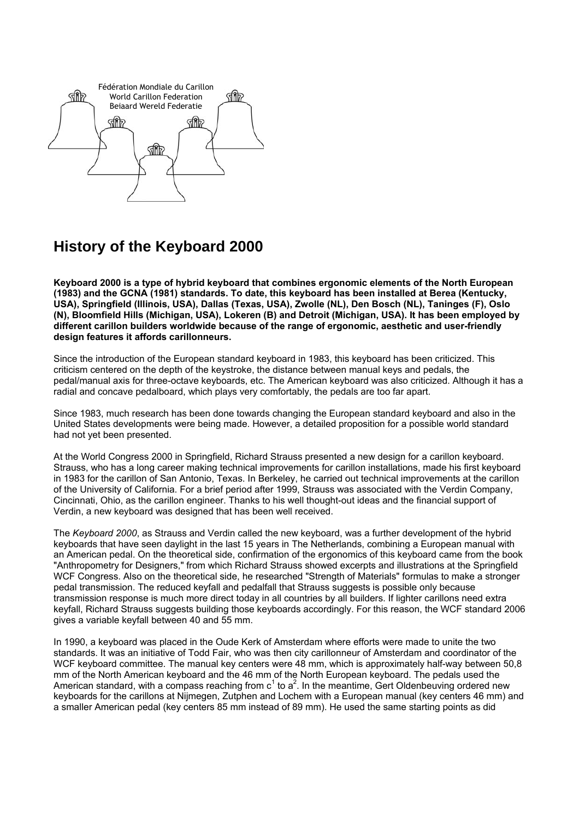

## **History of the Keyboard 2000**

**Keyboard 2000 is a type of hybrid keyboard that combines ergonomic elements of the North European (1983) and the GCNA (1981) standards. To date, this keyboard has been installed at Berea (Kentucky, USA), Springfield (Illinois, USA), Dallas (Texas, USA), Zwolle (NL), Den Bosch (NL), Taninges (F), Oslo (N), Bloomfield Hills (Michigan, USA), Lokeren (B) and Detroit (Michigan, USA). It has been employed by different carillon builders worldwide because of the range of ergonomic, aesthetic and user-friendly design features it affords carillonneurs.** 

Since the introduction of the European standard keyboard in 1983, this keyboard has been criticized. This criticism centered on the depth of the keystroke, the distance between manual keys and pedals, the pedal/manual axis for three-octave keyboards, etc. The American keyboard was also criticized. Although it has a radial and concave pedalboard, which plays very comfortably, the pedals are too far apart.

Since 1983, much research has been done towards changing the European standard keyboard and also in the United States developments were being made. However, a detailed proposition for a possible world standard had not yet been presented.

At the World Congress 2000 in Springfield, Richard Strauss presented a new design for a carillon keyboard. Strauss, who has a long career making technical improvements for carillon installations, made his first keyboard in 1983 for the carillon of San Antonio, Texas. In Berkeley, he carried out technical improvements at the carillon of the University of California. For a brief period after 1999, Strauss was associated with the Verdin Company, Cincinnati, Ohio, as the carillon engineer. Thanks to his well thought-out ideas and the financial support of Verdin, a new keyboard was designed that has been well received.

The *Keyboard 2000*, as Strauss and Verdin called the new keyboard, was a further development of the hybrid keyboards that have seen daylight in the last 15 years in The Netherlands, combining a European manual with an American pedal. On the theoretical side, confirmation of the ergonomics of this keyboard came from the book "Anthropometry for Designers," from which Richard Strauss showed excerpts and illustrations at the Springfield WCF Congress. Also on the theoretical side, he researched "Strength of Materials" formulas to make a stronger pedal transmission. The reduced keyfall and pedalfall that Strauss suggests is possible only because transmission response is much more direct today in all countries by all builders. If lighter carillons need extra keyfall, Richard Strauss suggests building those keyboards accordingly. For this reason, the WCF standard 2006 gives a variable keyfall between 40 and 55 mm.

In 1990, a keyboard was placed in the Oude Kerk of Amsterdam where efforts were made to unite the two standards. It was an initiative of Todd Fair, who was then city carillonneur of Amsterdam and coordinator of the WCF keyboard committee. The manual key centers were 48 mm, which is approximately half-way between 50,8 mm of the North American keyboard and the 46 mm of the North European keyboard. The pedals used the American standard, with a compass reaching from  $c^1$  to  $a^2$ . In the meantime, Gert Oldenbeuving ordered new keyboards for the carillons at Nijmegen, Zutphen and Lochem with a European manual (key centers 46 mm) and a smaller American pedal (key centers 85 mm instead of 89 mm). He used the same starting points as did